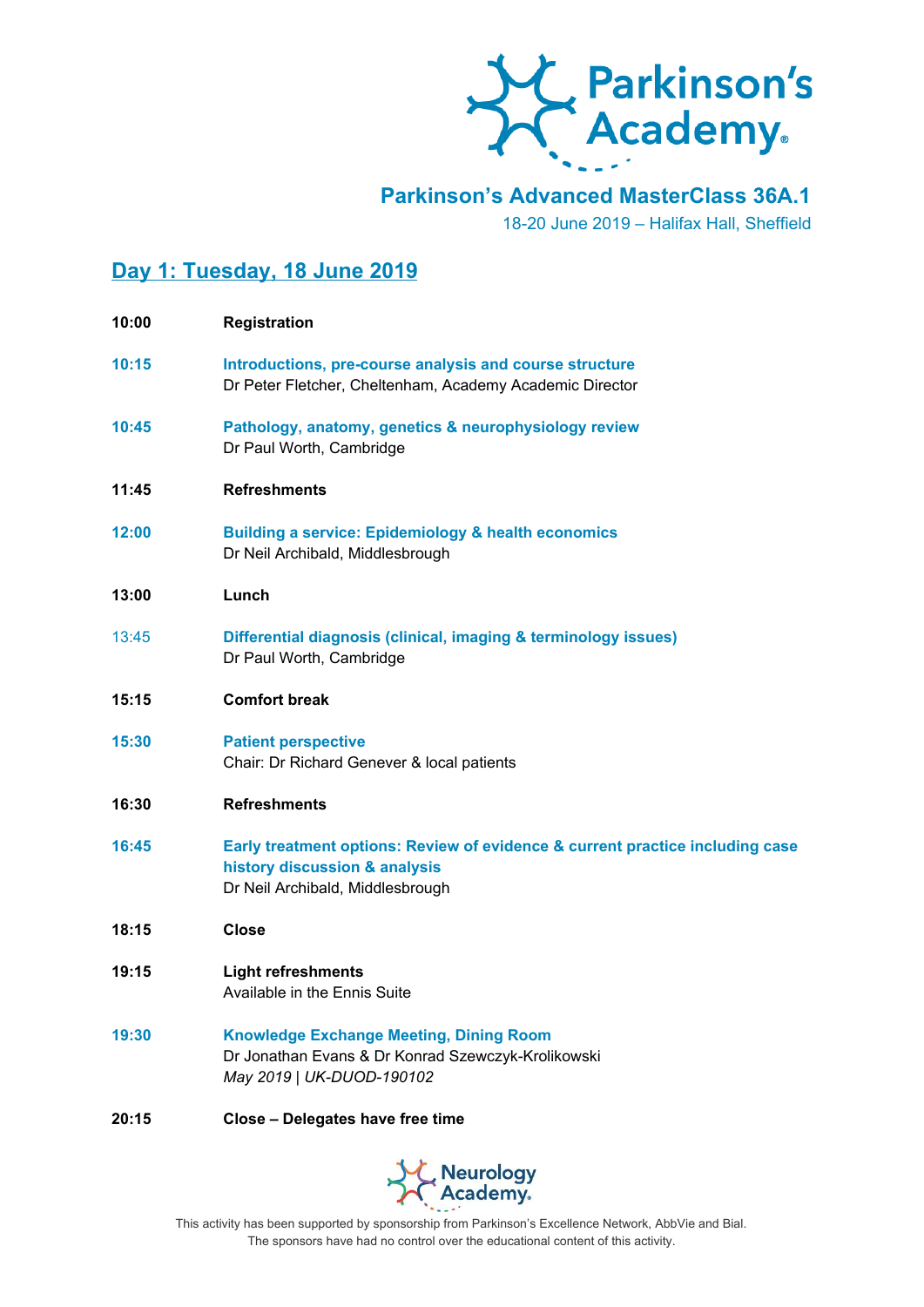

**Parkinson's Advanced MasterClass 36A.1**

18-20 June 2019 – Halifax Hall, Sheffield

# **Day 1: Tuesday, 18 June 2019**

| 10:00 | <b>Registration</b>                                                                                                                                |
|-------|----------------------------------------------------------------------------------------------------------------------------------------------------|
| 10:15 | Introductions, pre-course analysis and course structure<br>Dr Peter Fletcher, Cheltenham, Academy Academic Director                                |
| 10:45 | Pathology, anatomy, genetics & neurophysiology review<br>Dr Paul Worth, Cambridge                                                                  |
| 11:45 | <b>Refreshments</b>                                                                                                                                |
| 12:00 | <b>Building a service: Epidemiology &amp; health economics</b><br>Dr Neil Archibald, Middlesbrough                                                 |
| 13:00 | Lunch                                                                                                                                              |
| 13:45 | Differential diagnosis (clinical, imaging & terminology issues)<br>Dr Paul Worth, Cambridge                                                        |
| 15:15 | <b>Comfort break</b>                                                                                                                               |
| 15:30 | <b>Patient perspective</b><br>Chair: Dr Richard Genever & local patients                                                                           |
| 16:30 | <b>Refreshments</b>                                                                                                                                |
| 16:45 | Early treatment options: Review of evidence & current practice including case<br>history discussion & analysis<br>Dr Neil Archibald, Middlesbrough |
| 18:15 | <b>Close</b>                                                                                                                                       |
| 19:15 | <b>Light refreshments</b><br>Available in the Ennis Suite                                                                                          |
| 19:30 | <b>Knowledge Exchange Meeting, Dining Room</b><br>Dr Jonathan Evans & Dr Konrad Szewczyk-Krolikowski<br>May 2019   UK-DUOD-190102                  |

#### **20:15 Close – Delegates have free time**

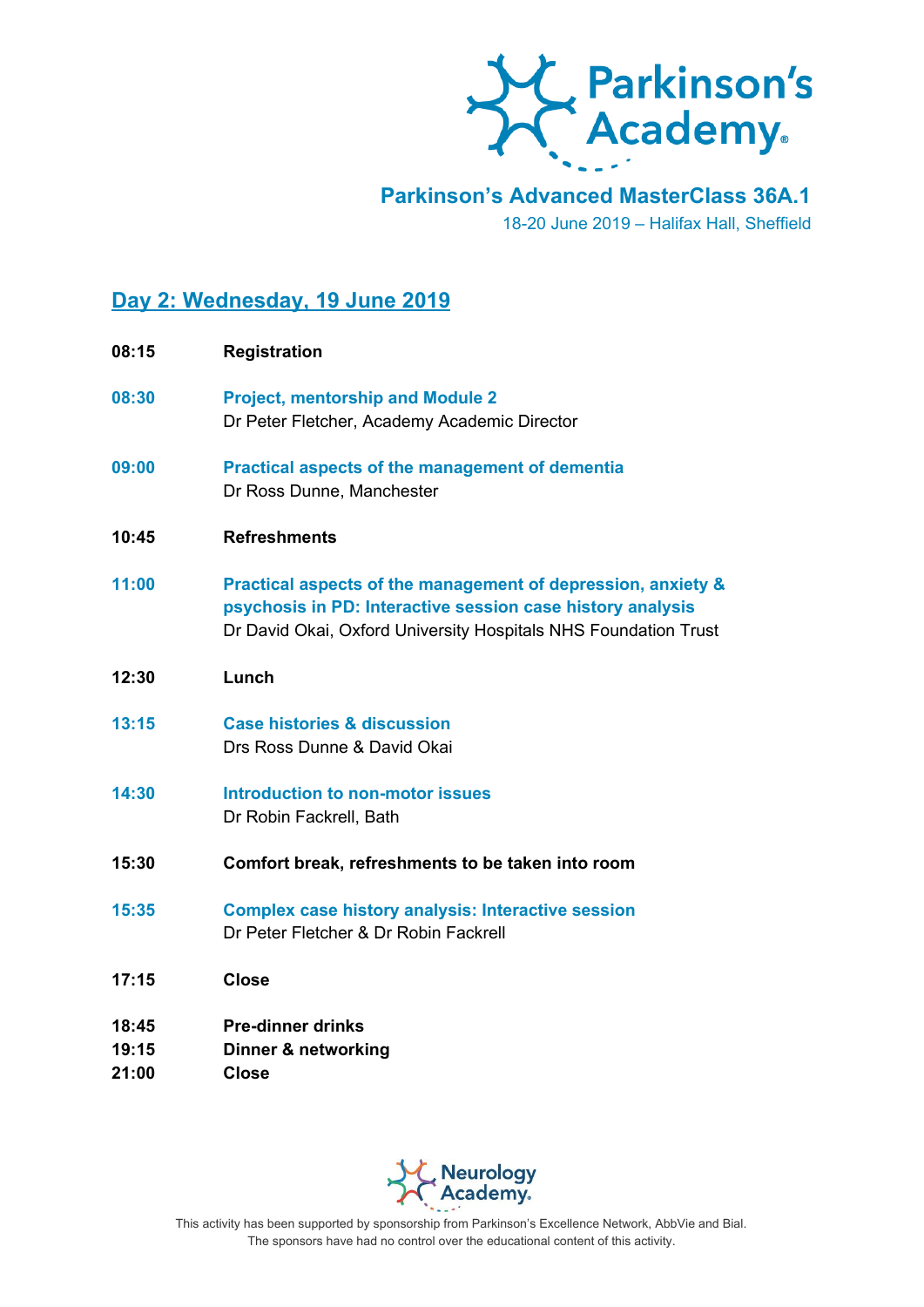

## **Parkinson's Advanced MasterClass 36A.1**

18-20 June 2019 – Halifax Hall, Sheffield

# **Day 2: Wednesday, 19 June 2019**

| 08:15                   | <b>Registration</b>                                                                                                                                                                           |
|-------------------------|-----------------------------------------------------------------------------------------------------------------------------------------------------------------------------------------------|
| 08:30                   | <b>Project, mentorship and Module 2</b><br>Dr Peter Fletcher, Academy Academic Director                                                                                                       |
| 09:00                   | <b>Practical aspects of the management of dementia</b><br>Dr Ross Dunne, Manchester                                                                                                           |
| 10:45                   | <b>Refreshments</b>                                                                                                                                                                           |
| 11:00                   | Practical aspects of the management of depression, anxiety &<br>psychosis in PD: Interactive session case history analysis<br>Dr David Okai, Oxford University Hospitals NHS Foundation Trust |
| 12:30                   | Lunch                                                                                                                                                                                         |
| 13:15                   | <b>Case histories &amp; discussion</b><br>Drs Ross Dunne & David Okai                                                                                                                         |
| 14:30                   | Introduction to non-motor issues<br>Dr Robin Fackrell, Bath                                                                                                                                   |
| 15:30                   | Comfort break, refreshments to be taken into room                                                                                                                                             |
| 15:35                   | <b>Complex case history analysis: Interactive session</b><br>Dr Peter Fletcher & Dr Robin Fackrell                                                                                            |
| 17:15                   | <b>Close</b>                                                                                                                                                                                  |
| 18:45<br>19:15<br>21:00 | <b>Pre-dinner drinks</b><br><b>Dinner &amp; networking</b><br><b>Close</b>                                                                                                                    |